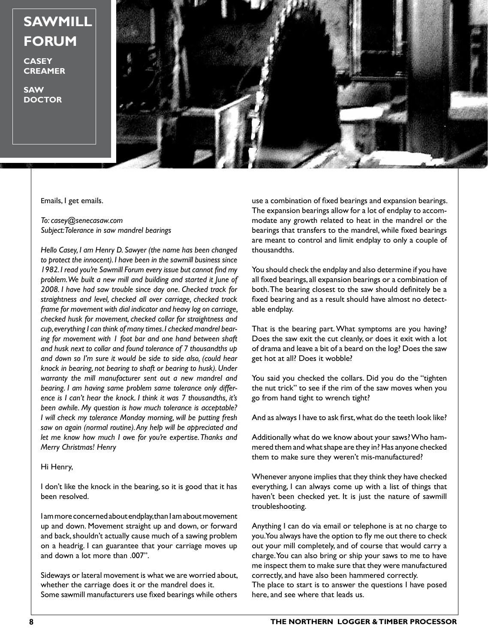## **SAWMILL FORUM**

**CASEY CREAMER**

**SAW DOCTOR**



Emails, I get emails.

*To: casey@senecasaw.com Subject: Tolerance in saw mandrel bearings*

*Hello Casey, I am Henry D. Sawyer (the name has been changed to protect the innocent). I have been in the sawmill business since 1982. I read you're Sawmill Forum every issue but cannot find my problem. We built a new mill and building and started it June of 2008. I have had saw trouble since day one. Checked track for straightness and level, checked all over carriage, checked track frame for movement with dial indicator and heavy log on carriage, checked husk for movement, checked collar for straightness and cup, everything I can think of many times. I checked mandrel bearing for movement with 1 foot bar and one hand between shaft and husk next to collar and found tolerance of 7 thousandths up and down so I'm sure it would be side to side also, (could hear knock in bearing, not bearing to shaft or bearing to husk). Under warranty the mill manufacturer sent out a new mandrel and bearing. I am having same problem same tolerance only difference is I can't hear the knock. I think it was 7 thousandths, it's been awhile. My question is how much tolerance is acceptable? I will check my tolerance Monday morning, will be putting fresh saw on again (normal routine). Any help will be appreciated and let me know how much I owe for you're expertise. Thanks and Merry Christmas! Henry*

## Hi Henry,

I don't like the knock in the bearing, so it is good that it has been resolved.

I am more concerned about endplay, than I am about movement up and down. Movement straight up and down, or forward and back, shouldn't actually cause much of a sawing problem on a headrig. I can guarantee that your carriage moves up and down a lot more than .007".

Sideways or lateral movement is what we are worried about, whether the carriage does it or the mandrel does it. Some sawmill manufacturers use fixed bearings while others

use a combination of fixed bearings and expansion bearings. The expansion bearings allow for a lot of endplay to accommodate any growth related to heat in the mandrel or the bearings that transfers to the mandrel, while fixed bearings are meant to control and limit endplay to only a couple of thousandths.

You should check the endplay and also determine if you have all fixed bearings, all expansion bearings or a combination of both. The bearing closest to the saw should definitely be a fixed bearing and as a result should have almost no detectable endplay.

That is the bearing part. What symptoms are you having? Does the saw exit the cut cleanly, or does it exit with a lot of drama and leave a bit of a beard on the log? Does the saw get hot at all? Does it wobble?

You said you checked the collars. Did you do the "tighten the nut trick" to see if the rim of the saw moves when you go from hand tight to wrench tight?

And as always I have to ask first, what do the teeth look like?

Additionally what do we know about your saws? Who hammered them and what shape are they in? Has anyone checked them to make sure they weren't mis-manufactured?

Whenever anyone implies that they think they have checked everything, I can always come up with a list of things that haven't been checked yet. It is just the nature of sawmill troubleshooting.

Anything I can do via email or telephone is at no charge to you. You always have the option to fly me out there to check out your mill completely, and of course that would carry a charge. You can also bring or ship your saws to me to have me inspect them to make sure that they were manufactured correctly, and have also been hammered correctly. The place to start is to answer the questions I have posed here, and see where that leads us.